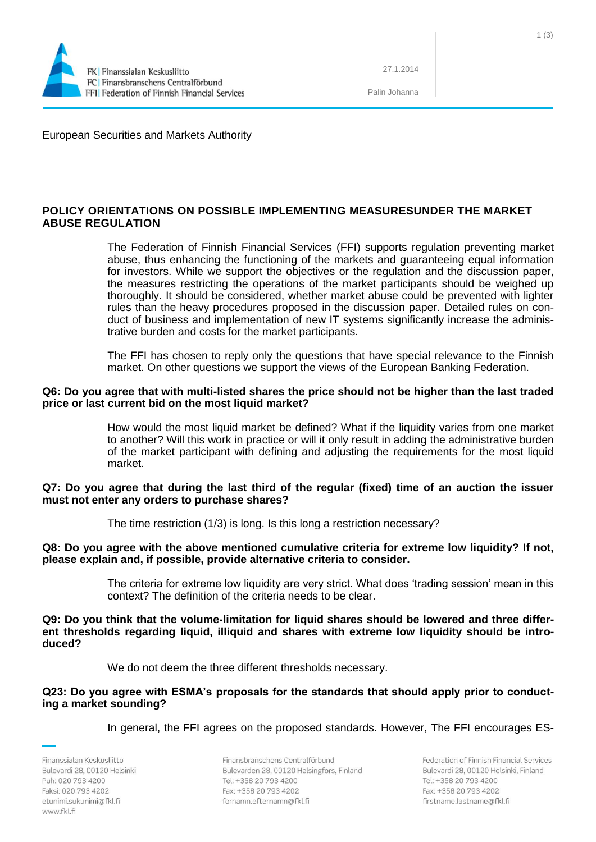

27.1.2014

Palin Johanna

European Securities and Markets Authority

# **POLICY ORIENTATIONS ON POSSIBLE IMPLEMENTING MEASURESUNDER THE MARKET ABUSE REGULATION**

The Federation of Finnish Financial Services (FFI) supports regulation preventing market abuse, thus enhancing the functioning of the markets and guaranteeing equal information for investors. While we support the objectives or the regulation and the discussion paper, the measures restricting the operations of the market participants should be weighed up thoroughly. It should be considered, whether market abuse could be prevented with lighter rules than the heavy procedures proposed in the discussion paper. Detailed rules on conduct of business and implementation of new IT systems significantly increase the administrative burden and costs for the market participants.

The FFI has chosen to reply only the questions that have special relevance to the Finnish market. On other questions we support the views of the European Banking Federation.

#### **Q6: Do you agree that with multi-listed shares the price should not be higher than the last traded price or last current bid on the most liquid market?**

How would the most liquid market be defined? What if the liquidity varies from one market to another? Will this work in practice or will it only result in adding the administrative burden of the market participant with defining and adjusting the requirements for the most liquid market.

## **Q7: Do you agree that during the last third of the regular (fixed) time of an auction the issuer must not enter any orders to purchase shares?**

The time restriction (1/3) is long. Is this long a restriction necessary?

## **Q8: Do you agree with the above mentioned cumulative criteria for extreme low liquidity? If not, please explain and, if possible, provide alternative criteria to consider.**

The criteria for extreme low liquidity are very strict. What does 'trading session' mean in this context? The definition of the criteria needs to be clear.

**Q9: Do you think that the volume-limitation for liquid shares should be lowered and three different thresholds regarding liquid, illiquid and shares with extreme low liquidity should be introduced?**

We do not deem the three different thresholds necessary.

## **Q23: Do you agree with ESMA's proposals for the standards that should apply prior to conducting a market sounding?**

In general, the FFI agrees on the proposed standards. However, The FFI encourages ES-

Finanssialan Keskusliitto Bulevardi 28, 00120 Helsinki Puh: 020 793 4200 Faksi: 020 793 4202 etunimi.sukunimi@fkl.fi www.fkl.fi

Finansbranschens Centralförbund Bulevarden 28, 00120 Helsingfors, Finland Tel: +358 20 793 4200 Fax: +358 20 793 4202 fornamn.efternamn@fkl.fi

Federation of Finnish Financial Services Bulevardi 28, 00120 Helsinki, Finland Tel: +358 20 793 4200 Fax: +358 20 793 4202 firstname.lastname@fkl.fi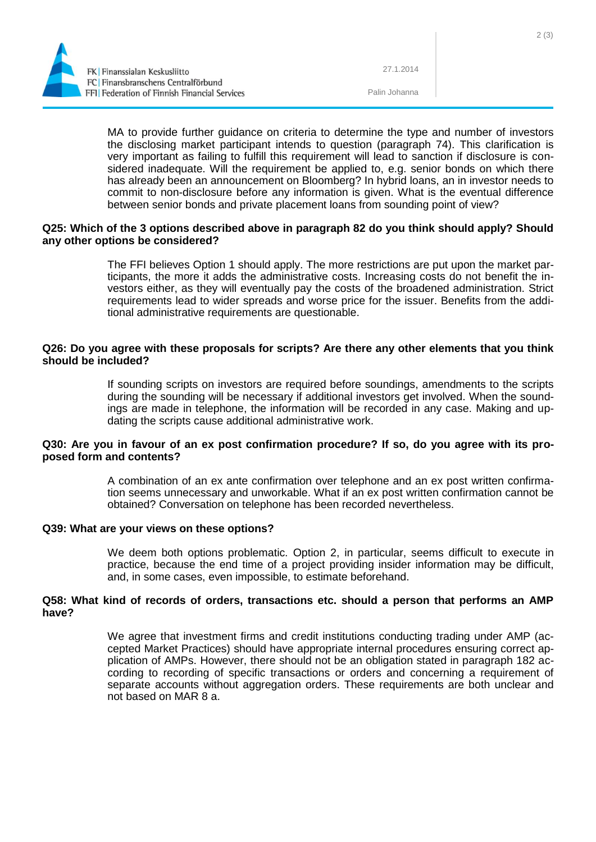

27.1.2014

Palin Johanna

MA to provide further guidance on criteria to determine the type and number of investors the disclosing market participant intends to question (paragraph 74). This clarification is very important as failing to fulfill this requirement will lead to sanction if disclosure is considered inadequate. Will the requirement be applied to, e.g. senior bonds on which there has already been an announcement on Bloomberg? In hybrid loans, an in investor needs to commit to non-disclosure before any information is given. What is the eventual difference between senior bonds and private placement loans from sounding point of view?

## **Q25: Which of the 3 options described above in paragraph 82 do you think should apply? Should any other options be considered?**

The FFI believes Option 1 should apply. The more restrictions are put upon the market participants, the more it adds the administrative costs. Increasing costs do not benefit the investors either, as they will eventually pay the costs of the broadened administration. Strict requirements lead to wider spreads and worse price for the issuer. Benefits from the additional administrative requirements are questionable.

## **Q26: Do you agree with these proposals for scripts? Are there any other elements that you think should be included?**

If sounding scripts on investors are required before soundings, amendments to the scripts during the sounding will be necessary if additional investors get involved. When the soundings are made in telephone, the information will be recorded in any case. Making and updating the scripts cause additional administrative work.

## **Q30: Are you in favour of an ex post confirmation procedure? If so, do you agree with its proposed form and contents?**

A combination of an ex ante confirmation over telephone and an ex post written confirmation seems unnecessary and unworkable. What if an ex post written confirmation cannot be obtained? Conversation on telephone has been recorded nevertheless.

## **Q39: What are your views on these options?**

We deem both options problematic. Option 2, in particular, seems difficult to execute in practice, because the end time of a project providing insider information may be difficult, and, in some cases, even impossible, to estimate beforehand.

## **Q58: What kind of records of orders, transactions etc. should a person that performs an AMP have?**

We agree that investment firms and credit institutions conducting trading under AMP (accepted Market Practices) should have appropriate internal procedures ensuring correct application of AMPs. However, there should not be an obligation stated in paragraph 182 according to recording of specific transactions or orders and concerning a requirement of separate accounts without aggregation orders. These requirements are both unclear and not based on MAR 8 a.